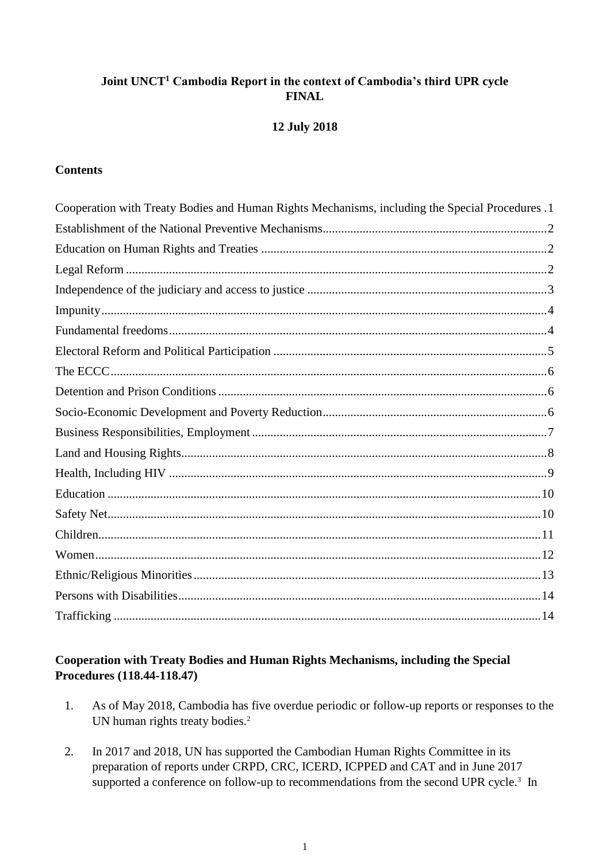# **Joint UNCT<sup>1</sup> Cambodia Report in the context of Cambodia's third UPR cycle FINAL**

#### **12 July 2018**

#### **Contents**

| Cooperation with Treaty Bodies and Human Rights Mechanisms, including the Special Procedures .1 |  |
|-------------------------------------------------------------------------------------------------|--|
|                                                                                                 |  |
|                                                                                                 |  |
|                                                                                                 |  |
|                                                                                                 |  |
|                                                                                                 |  |
|                                                                                                 |  |
|                                                                                                 |  |
|                                                                                                 |  |
|                                                                                                 |  |
|                                                                                                 |  |
|                                                                                                 |  |
|                                                                                                 |  |
|                                                                                                 |  |
|                                                                                                 |  |
|                                                                                                 |  |
|                                                                                                 |  |
|                                                                                                 |  |
|                                                                                                 |  |
|                                                                                                 |  |
|                                                                                                 |  |

# <span id="page-0-0"></span>**Cooperation with Treaty Bodies and Human Rights Mechanisms, including the Special Procedures (118.44-118.47)**

- 1. As of May 2018, Cambodia has five overdue periodic or follow-up reports or responses to the UN human rights treaty bodies. 2
- 2. In 2017 and 2018, UN has supported the Cambodian Human Rights Committee in its preparation of reports under CRPD, CRC, ICERD, ICPPED and CAT and in June 2017 supported a conference on follow-up to recommendations from the second UPR cycle.<sup>3</sup> In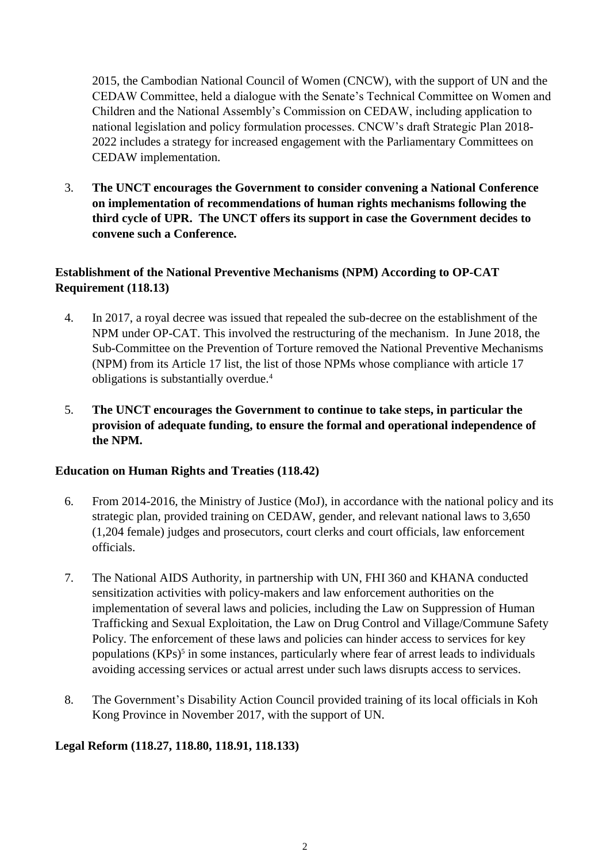2015, the Cambodian National Council of Women (CNCW), with the support of UN and the CEDAW Committee, held a dialogue with the Senate's Technical Committee on Women and Children and the National Assembly's Commission on CEDAW, including application to national legislation and policy formulation processes. CNCW's draft Strategic Plan 2018- 2022 includes a strategy for increased engagement with the Parliamentary Committees on CEDAW implementation.

3. **The UNCT encourages the Government to consider convening a National Conference on implementation of recommendations of human rights mechanisms following the third cycle of UPR. The UNCT offers its support in case the Government decides to convene such a Conference.**

# <span id="page-1-0"></span>**Establishment of the National Preventive Mechanisms (NPM) According to OP-CAT Requirement (118.13)**

- 4. In 2017, a royal decree was issued that repealed the sub-decree on the establishment of the NPM under OP-CAT. This involved the restructuring of the mechanism. In June 2018, the Sub-Committee on the Prevention of Torture removed the National Preventive Mechanisms (NPM) from its Article 17 list, the list of those NPMs whose compliance with article 17 obligations is substantially overdue.<sup>4</sup>
- 5. **The UNCT encourages the Government to continue to take steps, in particular the provision of adequate funding, to ensure the formal and operational independence of the NPM.**

### <span id="page-1-1"></span>**Education on Human Rights and Treaties (118.42)**

- 6. From 2014-2016, the Ministry of Justice (MoJ), in accordance with the national policy and its strategic plan, provided training on CEDAW, gender, and relevant national laws to 3,650 (1,204 female) judges and prosecutors, court clerks and court officials, law enforcement officials.
- 7. The National AIDS Authority, in partnership with UN, FHI 360 and KHANA conducted sensitization activities with policy-makers and law enforcement authorities on the implementation of several laws and policies, including the Law on Suppression of Human Trafficking and Sexual Exploitation, the Law on Drug Control and Village/Commune Safety Policy. The enforcement of these laws and policies can hinder access to services for key populations (KPs)<sup>5</sup> in some instances, particularly where fear of arrest leads to individuals avoiding accessing services or actual arrest under such laws disrupts access to services.
- 8. The Government's Disability Action Council provided training of its local officials in Koh Kong Province in November 2017, with the support of UN.

### <span id="page-1-2"></span>**Legal Reform (118.27, 118.80, 118.91, 118.133)**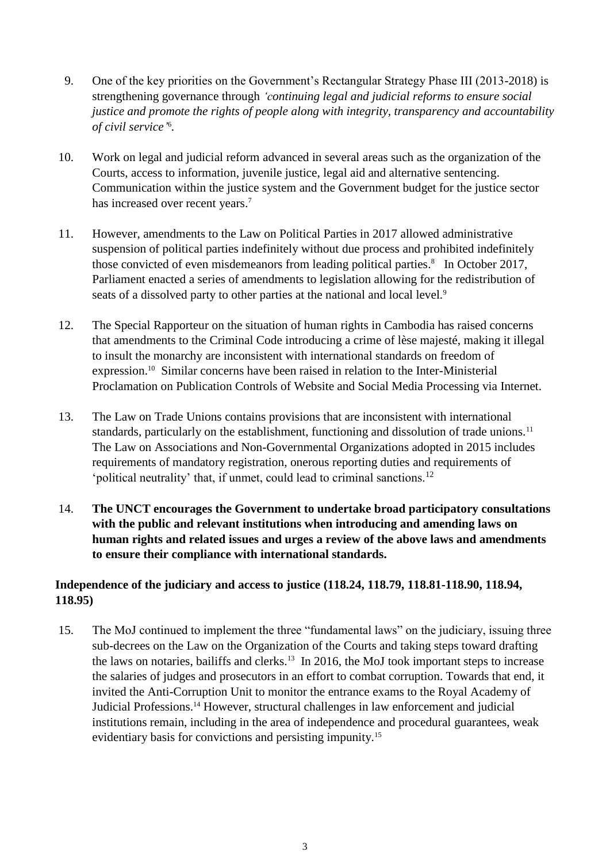- 9. One of the key priorities on the Government's Rectangular Strategy Phase III (2013-2018) is strengthening governance through *'continuing legal and judicial reforms to ensure social justice and promote the rights of people along with integrity, transparency and accountability of civil service'* 6 *.*
- 10. Work on legal and judicial reform advanced in several areas such as the organization of the Courts, access to information, juvenile justice, legal aid and alternative sentencing. Communication within the justice system and the Government budget for the justice sector has increased over recent years. 7
- 11. However, amendments to the Law on Political Parties in 2017 allowed administrative suspension of political parties indefinitely without due process and prohibited indefinitely those convicted of even misdemeanors from leading political parties. 8 In October 2017, Parliament enacted a series of amendments to legislation allowing for the redistribution of seats of a dissolved party to other parties at the national and local level.<sup>9</sup>
- 12. The Special Rapporteur on the situation of human rights in Cambodia has raised concerns that amendments to the Criminal Code introducing a crime of lèse majesté, making it illegal to insult the monarchy are inconsistent with international standards on freedom of expression. <sup>10</sup> Similar concerns have been raised in relation to the Inter-Ministerial Proclamation on Publication Controls of Website and Social Media Processing via Internet.
- 13. The Law on Trade Unions contains provisions that are inconsistent with international standards, particularly on the establishment, functioning and dissolution of trade unions.<sup>11</sup> The Law on Associations and Non-Governmental Organizations adopted in 2015 includes requirements of mandatory registration, onerous reporting duties and requirements of 'political neutrality' that, if unmet, could lead to criminal sanctions.<sup>12</sup>
- 14. **The UNCT encourages the Government to undertake broad participatory consultations with the public and relevant institutions when introducing and amending laws on human rights and related issues and urges a review of the above laws and amendments to ensure their compliance with international standards.**

# <span id="page-2-0"></span>**Independence of the judiciary and access to justice (118.24, 118.79, 118.81-118.90, 118.94, 118.95)**

15. The MoJ continued to implement the three "fundamental laws" on the judiciary, issuing three sub-decrees on the Law on the Organization of the Courts and taking steps toward drafting the laws on notaries, bailiffs and clerks.<sup>13</sup> In 2016, the MoJ took important steps to increase the salaries of judges and prosecutors in an effort to combat corruption. Towards that end, it invited the Anti-Corruption Unit to monitor the entrance exams to the Royal Academy of Judicial Professions.<sup>14</sup> However, structural challenges in law enforcement and judicial institutions remain, including in the area of independence and procedural guarantees, weak evidentiary basis for convictions and persisting impunity.<sup>15</sup>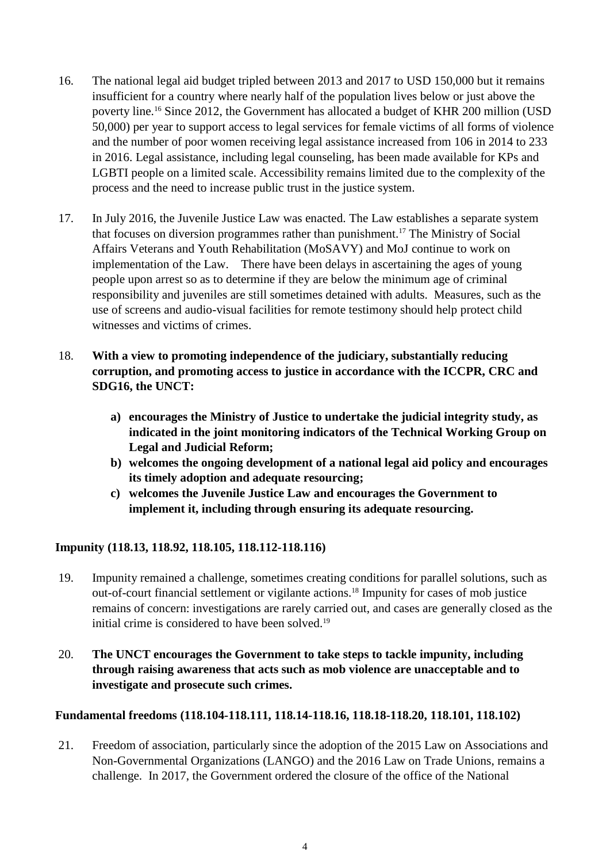- 16. The national legal aid budget tripled between 2013 and 2017 to USD 150,000 but it remains insufficient for a country where nearly half of the population lives below or just above the poverty line.<sup>16</sup> Since 2012, the Government has allocated a budget of KHR 200 million (USD 50,000) per year to support access to legal services for female victims of all forms of violence and the number of poor women receiving legal assistance increased from 106 in 2014 to 233 in 2016. Legal assistance, including legal counseling, has been made available for KPs and LGBTI people on a limited scale. Accessibility remains limited due to the complexity of the process and the need to increase public trust in the justice system.
- 17. In July 2016, the Juvenile Justice Law was enacted. The Law establishes a separate system that focuses on diversion programmes rather than punishment.<sup>17</sup> The Ministry of Social Affairs Veterans and Youth Rehabilitation (MoSAVY) and MoJ continue to work on implementation of the Law. There have been delays in ascertaining the ages of young people upon arrest so as to determine if they are below the minimum age of criminal responsibility and juveniles are still sometimes detained with adults. Measures, such as the use of screens and audio-visual facilities for remote testimony should help protect child witnesses and victims of crimes.
- 18. **With a view to promoting independence of the judiciary, substantially reducing corruption, and promoting access to justice in accordance with the ICCPR, CRC and SDG16, the UNCT:**
	- **a) encourages the Ministry of Justice to undertake the judicial integrity study, as indicated in the joint monitoring indicators of the Technical Working Group on Legal and Judicial Reform;**
	- **b) welcomes the ongoing development of a national legal aid policy and encourages its timely adoption and adequate resourcing;**
	- **c) welcomes the Juvenile Justice Law and encourages the Government to implement it, including through ensuring its adequate resourcing.**

# <span id="page-3-0"></span>**Impunity (118.13, 118.92, 118.105, 118.112-118.116)**

- 19. Impunity remained a challenge, sometimes creating conditions for parallel solutions, such as out-of-court financial settlement or vigilante actions.<sup>18</sup> Impunity for cases of mob justice remains of concern: investigations are rarely carried out, and cases are generally closed as the initial crime is considered to have been solved.<sup>19</sup>
- 20. **The UNCT encourages the Government to take steps to tackle impunity, including through raising awareness that acts such as mob violence are unacceptable and to investigate and prosecute such crimes.**

### <span id="page-3-1"></span>**Fundamental freedoms (118.104-118.111, 118.14-118.16, 118.18-118.20, 118.101, 118.102)**

21. Freedom of association, particularly since the adoption of the 2015 Law on Associations and Non-Governmental Organizations (LANGO) and the 2016 Law on Trade Unions, remains a challenge. In 2017, the Government ordered the closure of the office of the National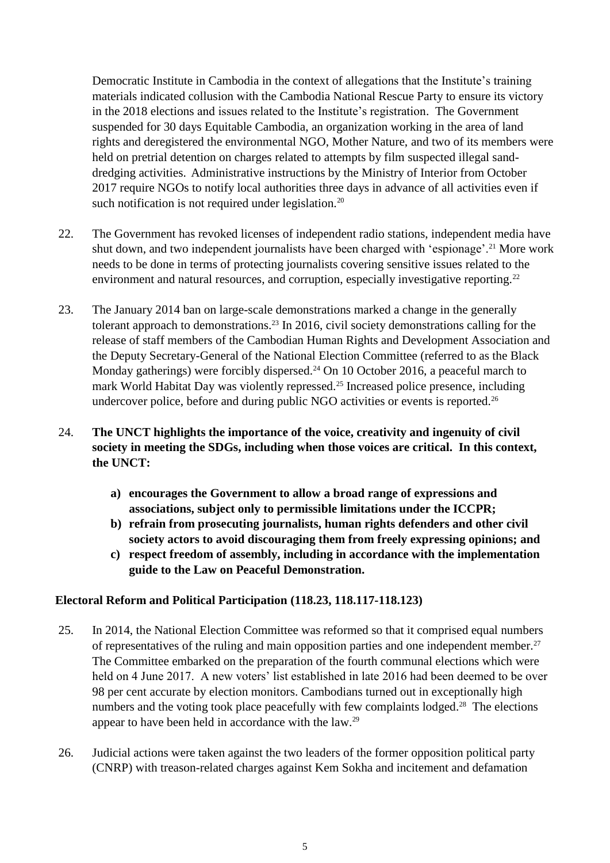Democratic Institute in Cambodia in the context of allegations that the Institute's training materials indicated collusion with the Cambodia National Rescue Party to ensure its victory in the 2018 elections and issues related to the Institute's registration. The Government suspended for 30 days Equitable Cambodia, an organization working in the area of land rights and deregistered the environmental NGO, Mother Nature, and two of its members were held on pretrial detention on charges related to attempts by film suspected illegal sanddredging activities. Administrative instructions by the Ministry of Interior from October 2017 require NGOs to notify local authorities three days in advance of all activities even if such notification is not required under legislation.<sup>20</sup>

- 22. The Government has revoked licenses of independent radio stations, independent media have shut down, and two independent journalists have been charged with 'espionage'.<sup>21</sup> More work needs to be done in terms of protecting journalists covering sensitive issues related to the environment and natural resources, and corruption, especially investigative reporting.<sup>22</sup>
- 23. The January 2014 ban on large-scale demonstrations marked a change in the generally tolerant approach to demonstrations.<sup>23</sup> In 2016, civil society demonstrations calling for the release of staff members of the Cambodian Human Rights and Development Association and the Deputy Secretary-General of the National Election Committee (referred to as the Black Monday gatherings) were forcibly dispersed.<sup>24</sup> On 10 October 2016, a peaceful march to mark World Habitat Day was violently repressed.<sup>25</sup> Increased police presence, including undercover police, before and during public NGO activities or events is reported.<sup>26</sup>
- 24. **The UNCT highlights the importance of the voice, creativity and ingenuity of civil society in meeting the SDGs, including when those voices are critical. In this context, the UNCT:**
	- **a) encourages the Government to allow a broad range of expressions and associations, subject only to permissible limitations under the ICCPR;**
	- **b) refrain from prosecuting journalists, human rights defenders and other civil society actors to avoid discouraging them from freely expressing opinions; and**
	- **c) respect freedom of assembly, including in accordance with the implementation guide to the Law on Peaceful Demonstration.**

### <span id="page-4-0"></span>**Electoral Reform and Political Participation (118.23, 118.117-118.123)**

- 25. In 2014, the National Election Committee was reformed so that it comprised equal numbers of representatives of the ruling and main opposition parties and one independent member.<sup>27</sup> The Committee embarked on the preparation of the fourth communal elections which were held on 4 June 2017. A new voters' list established in late 2016 had been deemed to be over 98 per cent accurate by election monitors. Cambodians turned out in exceptionally high numbers and the voting took place peacefully with few complaints lodged.<sup>28</sup> The elections appear to have been held in accordance with the law.<sup>29</sup>
- 26. Judicial actions were taken against the two leaders of the former opposition political party (CNRP) with treason-related charges against Kem Sokha and incitement and defamation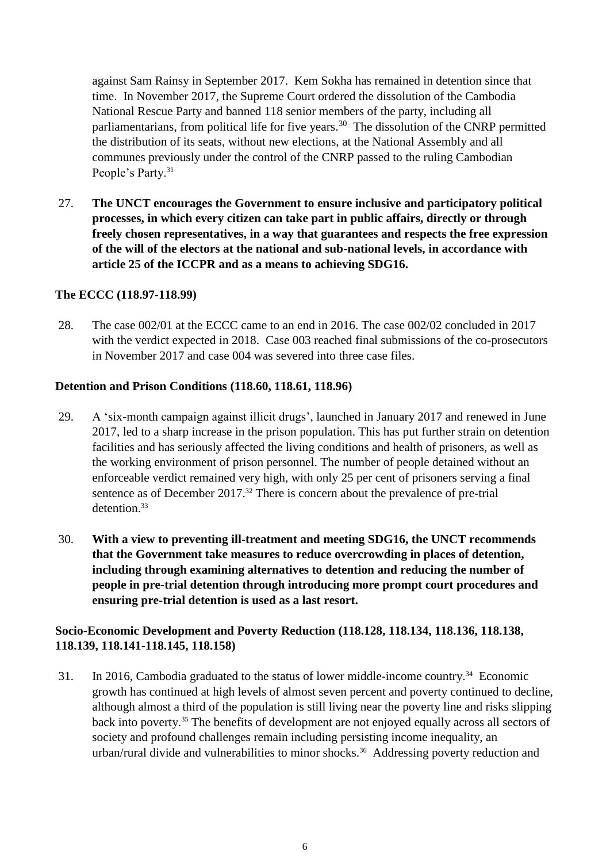against Sam Rainsy in September 2017. Kem Sokha has remained in detention since that time. In November 2017, the Supreme Court ordered the dissolution of the Cambodia National Rescue Party and banned 118 senior members of the party, including all parliamentarians, from political life for five years.<sup>30</sup> The dissolution of the CNRP permitted the distribution of its seats, without new elections, at the National Assembly and all communes previously under the control of the CNRP passed to the ruling Cambodian People's Party.<sup>31</sup>

27. **The UNCT encourages the Government to ensure inclusive and participatory political processes, in which every citizen can take part in public affairs, directly or through freely chosen representatives, in a way that guarantees and respects the free expression of the will of the electors at the national and sub-national levels, in accordance with article 25 of the ICCPR and as a means to achieving SDG16.**

### <span id="page-5-0"></span>**The ECCC (118.97-118.99)**

28. The case 002/01 at the ECCC came to an end in 2016. The case 002/02 concluded in 2017 with the verdict expected in 2018. Case 003 reached final submissions of the co-prosecutors in November 2017 and case 004 was severed into three case files.

#### <span id="page-5-1"></span>**Detention and Prison Conditions (118.60, 118.61, 118.96)**

- 29. A 'six-month campaign against illicit drugs', launched in January 2017 and renewed in June 2017, led to a sharp increase in the prison population. This has put further strain on detention facilities and has seriously affected the living conditions and health of prisoners, as well as the working environment of prison personnel. The number of people detained without an enforceable verdict remained very high, with only 25 per cent of prisoners serving a final sentence as of December 2017. <sup>32</sup> There is concern about the prevalence of pre-trial detention.<sup>33</sup>
- 30. **With a view to preventing ill-treatment and meeting SDG16, the UNCT recommends that the Government take measures to reduce overcrowding in places of detention, including through examining alternatives to detention and reducing the number of people in pre-trial detention through introducing more prompt court procedures and ensuring pre-trial detention is used as a last resort.**

# <span id="page-5-2"></span>**Socio-Economic Development and Poverty Reduction (118.128, 118.134, 118.136, 118.138, 118.139, 118.141-118.145, 118.158)**

31. In 2016, Cambodia graduated to the status of lower middle-income country. <sup>34</sup> Economic growth has continued at high levels of almost seven percent and poverty continued to decline, although almost a third of the population is still living near the poverty line and risks slipping back into poverty. <sup>35</sup> The benefits of development are not enjoyed equally across all sectors of society and profound challenges remain including persisting income inequality, an urban/rural divide and vulnerabilities to minor shocks.<sup>36</sup> Addressing poverty reduction and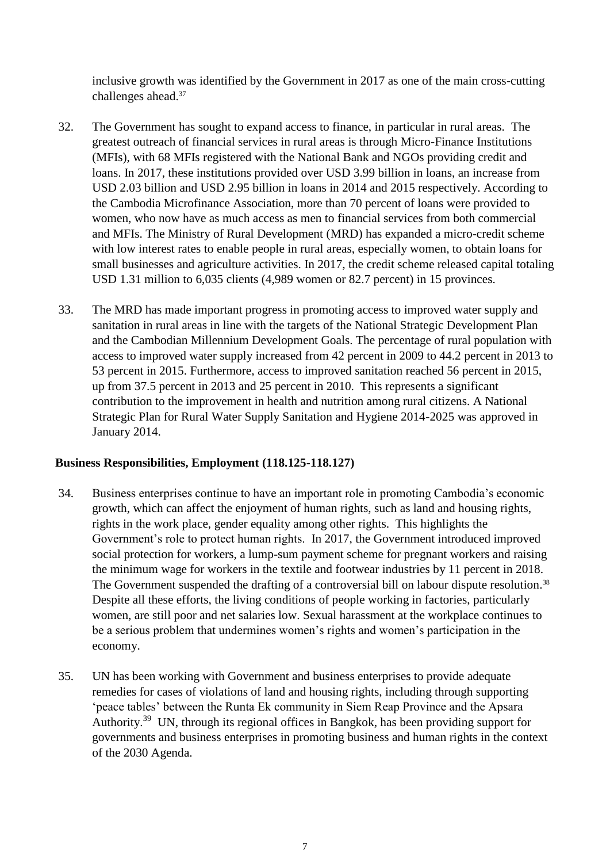inclusive growth was identified by the Government in 2017 as one of the main cross-cutting challenges ahead. 37

- 32. The Government has sought to expand access to finance, in particular in rural areas. The greatest outreach of financial services in rural areas is through Micro-Finance Institutions (MFIs), with 68 MFIs registered with the National Bank and NGOs providing credit and loans. In 2017, these institutions provided over USD 3.99 billion in loans, an increase from USD 2.03 billion and USD 2.95 billion in loans in 2014 and 2015 respectively. According to the Cambodia Microfinance Association, more than 70 percent of loans were provided to women, who now have as much access as men to financial services from both commercial and MFIs. The Ministry of Rural Development (MRD) has expanded a micro-credit scheme with low interest rates to enable people in rural areas, especially women, to obtain loans for small businesses and agriculture activities. In 2017, the credit scheme released capital totaling USD 1.31 million to 6,035 clients (4,989 women or 82.7 percent) in 15 provinces.
- 33. The MRD has made important progress in promoting access to improved water supply and sanitation in rural areas in line with the targets of the National Strategic Development Plan and the Cambodian Millennium Development Goals. The percentage of rural population with access to improved water supply increased from 42 percent in 2009 to 44.2 percent in 2013 to 53 percent in 2015. Furthermore, access to improved sanitation reached 56 percent in 2015, up from 37.5 percent in 2013 and 25 percent in 2010. This represents a significant contribution to the improvement in health and nutrition among rural citizens. A National Strategic Plan for Rural Water Supply Sanitation and Hygiene 2014-2025 was approved in January 2014.

### <span id="page-6-0"></span>**Business Responsibilities, Employment (118.125-118.127)**

- 34. Business enterprises continue to have an important role in promoting Cambodia's economic growth, which can affect the enjoyment of human rights, such as land and housing rights, rights in the work place, gender equality among other rights. This highlights the Government's role to protect human rights. In 2017, the Government introduced improved social protection for workers, a lump-sum payment scheme for pregnant workers and raising the minimum wage for workers in the textile and footwear industries by 11 percent in 2018. The Government suspended the drafting of a controversial bill on labour dispute resolution.<sup>38</sup> Despite all these efforts, the living conditions of people working in factories, particularly women, are still poor and net salaries low. Sexual harassment at the workplace continues to be a serious problem that undermines women's rights and women's participation in the economy.
- 35. UN has been working with Government and business enterprises to provide adequate remedies for cases of violations of land and housing rights, including through supporting 'peace tables' between the Runta Ek community in Siem Reap Province and the Apsara Authority.<sup>39</sup> UN, through its regional offices in Bangkok, has been providing support for governments and business enterprises in promoting business and human rights in the context of the 2030 Agenda.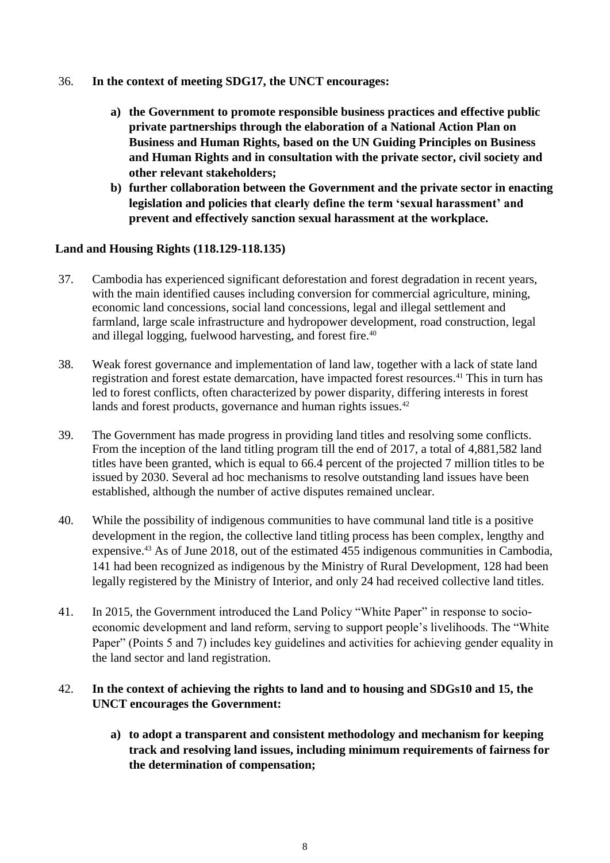- 36. **In the context of meeting SDG17, the UNCT encourages:**
	- **a) the Government to promote responsible business practices and effective public private partnerships through the elaboration of a National Action Plan on Business and Human Rights, based on the UN Guiding Principles on Business and Human Rights and in consultation with the private sector, civil society and other relevant stakeholders;**
	- **b) further collaboration between the Government and the private sector in enacting legislation and policies that clearly define the term 'sexual harassment' and prevent and effectively sanction sexual harassment at the workplace.**

### <span id="page-7-0"></span>**Land and Housing Rights (118.129-118.135)**

- 37. Cambodia has experienced significant deforestation and forest degradation in recent years, with the main identified causes including conversion for commercial agriculture, mining, economic land concessions, social land concessions, legal and illegal settlement and farmland, large scale infrastructure and hydropower development, road construction, legal and illegal logging, fuelwood harvesting, and forest fire. 40
- 38. Weak forest governance and implementation of land law, together with a lack of state land registration and forest estate demarcation, have impacted forest resources. <sup>41</sup> This in turn has led to forest conflicts, often characterized by power disparity, differing interests in forest lands and forest products, governance and human rights issues.<sup>42</sup>
- 39. The Government has made progress in providing land titles and resolving some conflicts. From the inception of the land titling program till the end of 2017, a total of 4,881,582 land titles have been granted, which is equal to 66.4 percent of the projected 7 million titles to be issued by 2030. Several ad hoc mechanisms to resolve outstanding land issues have been established, although the number of active disputes remained unclear.
- 40. While the possibility of indigenous communities to have communal land title is a positive development in the region, the collective land titling process has been complex, lengthy and expensive.<sup>43</sup> As of June 2018, out of the estimated 455 indigenous communities in Cambodia, 141 had been recognized as indigenous by the Ministry of Rural Development, 128 had been legally registered by the Ministry of Interior, and only 24 had received collective land titles.
- 41. In 2015, the Government introduced the Land Policy "White Paper" in response to socioeconomic development and land reform, serving to support people's livelihoods. The "White Paper" (Points 5 and 7) includes key guidelines and activities for achieving gender equality in the land sector and land registration.

### 42. **In the context of achieving the rights to land and to housing and SDGs10 and 15, the UNCT encourages the Government:**

**a) to adopt a transparent and consistent methodology and mechanism for keeping track and resolving land issues, including minimum requirements of fairness for the determination of compensation;**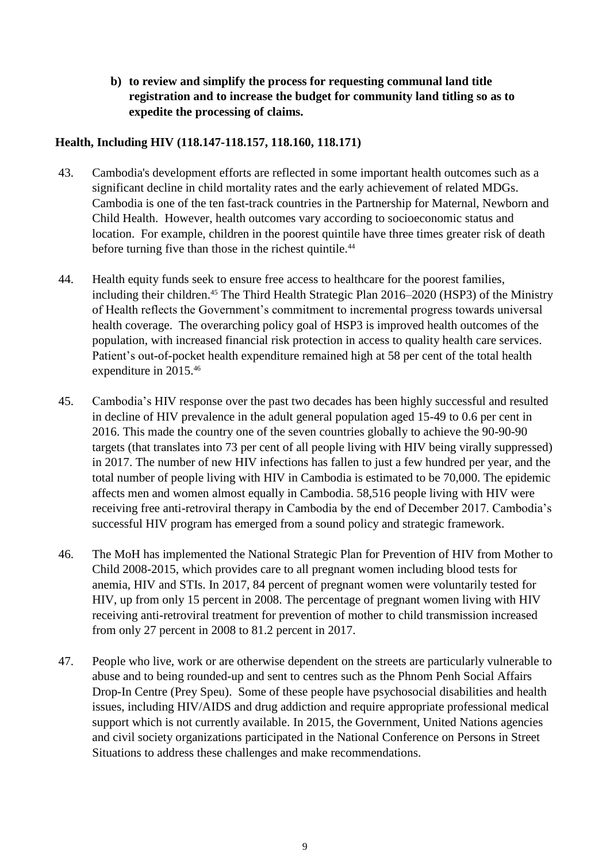**b) to review and simplify the process for requesting communal land title registration and to increase the budget for community land titling so as to expedite the processing of claims.**

# <span id="page-8-0"></span>**Health, Including HIV (118.147-118.157, 118.160, 118.171)**

- 43. Cambodia's development efforts are reflected in some important health outcomes such as a significant decline in child mortality rates and the early achievement of related MDGs. Cambodia is one of the ten fast-track countries in the Partnership for Maternal, Newborn and Child Health. However, health outcomes vary according to socioeconomic status and location. For example, children in the poorest quintile have three times greater risk of death before turning five than those in the richest quintile.<sup>44</sup>
- 44. Health equity funds seek to ensure free access to healthcare for the poorest families, including their children.<sup>45</sup> The Third Health Strategic Plan 2016–2020 (HSP3) of the Ministry of Health reflects the Government's commitment to incremental progress towards universal health coverage. The overarching policy goal of HSP3 is improved health outcomes of the population, with increased financial risk protection in access to quality health care services. Patient's out-of-pocket health expenditure remained high at 58 per cent of the total health expenditure in 2015.<sup>46</sup>
- 45. Cambodia's HIV response over the past two decades has been highly successful and resulted in decline of HIV prevalence in the adult general population aged 15-49 to 0.6 per cent in 2016. This made the country one of the seven countries globally to achieve the 90-90-90 targets (that translates into 73 per cent of all people living with HIV being virally suppressed) in 2017. The number of new HIV infections has fallen to just a few hundred per year, and the total number of people living with HIV in Cambodia is estimated to be 70,000. The epidemic affects men and women almost equally in Cambodia. 58,516 people living with HIV were receiving free anti-retroviral therapy in Cambodia by the end of December 2017. Cambodia's successful HIV program has emerged from a sound policy and strategic framework.
- 46. The MoH has implemented the National Strategic Plan for Prevention of HIV from Mother to Child 2008-2015, which provides care to all pregnant women including blood tests for anemia, HIV and STIs. In 2017, 84 percent of pregnant women were voluntarily tested for HIV, up from only 15 percent in 2008. The percentage of pregnant women living with HIV receiving anti-retroviral treatment for prevention of mother to child transmission increased from only 27 percent in 2008 to 81.2 percent in 2017.
- 47. People who live, work or are otherwise dependent on the streets are particularly vulnerable to abuse and to being rounded-up and sent to centres such as the Phnom Penh Social Affairs Drop-In Centre (Prey Speu). Some of these people have psychosocial disabilities and health issues, including HIV/AIDS and drug addiction and require appropriate professional medical support which is not currently available. In 2015, the Government, United Nations agencies and civil society organizations participated in the National Conference on Persons in Street Situations to address these challenges and make recommendations.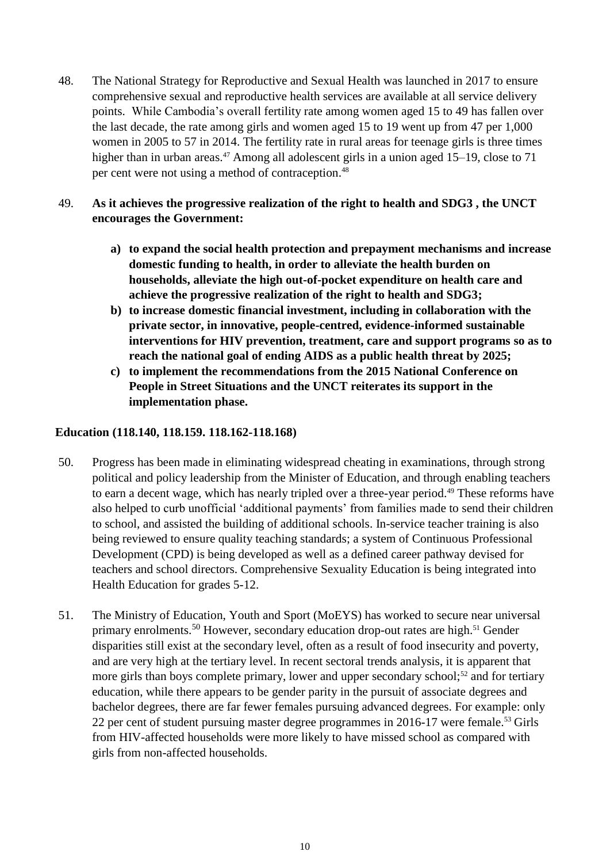48. The National Strategy for Reproductive and Sexual Health was launched in 2017 to ensure comprehensive sexual and reproductive health services are available at all service delivery points. While Cambodia's overall fertility rate among women aged 15 to 49 has fallen over the last decade, the rate among girls and women aged 15 to 19 went up from 47 per 1,000 women in 2005 to 57 in 2014. The fertility rate in rural areas for teenage girls is three times higher than in urban areas.<sup>47</sup> Among all adolescent girls in a union aged 15–19, close to 71 per cent were not using a method of contraception.<sup>48</sup>

# 49. **As it achieves the progressive realization of the right to health and SDG3 , the UNCT encourages the Government:**

- **a) to expand the social health protection and prepayment mechanisms and increase domestic funding to health, in order to alleviate the health burden on households, alleviate the high out-of-pocket expenditure on health care and achieve the progressive realization of the right to health and SDG3;**
- **b) to increase domestic financial investment, including in collaboration with the private sector, in innovative, people-centred, evidence-informed sustainable interventions for HIV prevention, treatment, care and support programs so as to reach the national goal of ending AIDS as a public health threat by 2025;**
- **c) to implement the recommendations from the 2015 National Conference on People in Street Situations and the UNCT reiterates its support in the implementation phase.**

### <span id="page-9-0"></span>**Education (118.140, 118.159. 118.162-118.168)**

- <span id="page-9-1"></span>50. Progress has been made in eliminating widespread cheating in examinations, through strong political and policy leadership from the Minister of Education, and through enabling teachers to earn a decent wage, which has nearly tripled over a three-year period.<sup>49</sup> These reforms have also helped to curb unofficial 'additional payments' from families made to send their children to school, and assisted the building of additional schools. In-service teacher training is also being reviewed to ensure quality teaching standards; a system of Continuous Professional Development (CPD) is being developed as well as a defined career pathway devised for teachers and school directors. Comprehensive Sexuality Education is being integrated into Health Education for grades 5-12.
- 51. The Ministry of Education, Youth and Sport (MoEYS) has worked to secure near universal primary enrolments.<sup>50</sup> However, secondary education drop-out rates are high.<sup>51</sup> Gender disparities still exist at the secondary level, often as a result of food insecurity and poverty, and are very high at the tertiary level. In recent sectoral trends analysis, it is apparent that more girls than boys complete primary, lower and upper secondary school;<sup>52</sup> and for tertiary education, while there appears to be gender parity in the pursuit of associate degrees and bachelor degrees, there are far fewer females pursuing advanced degrees. For example: only 22 per cent of student pursuing master degree programmes in 2016-17 were female. <sup>53</sup> Girls from HIV-affected households were more likely to have missed school as compared with girls from non-affected households.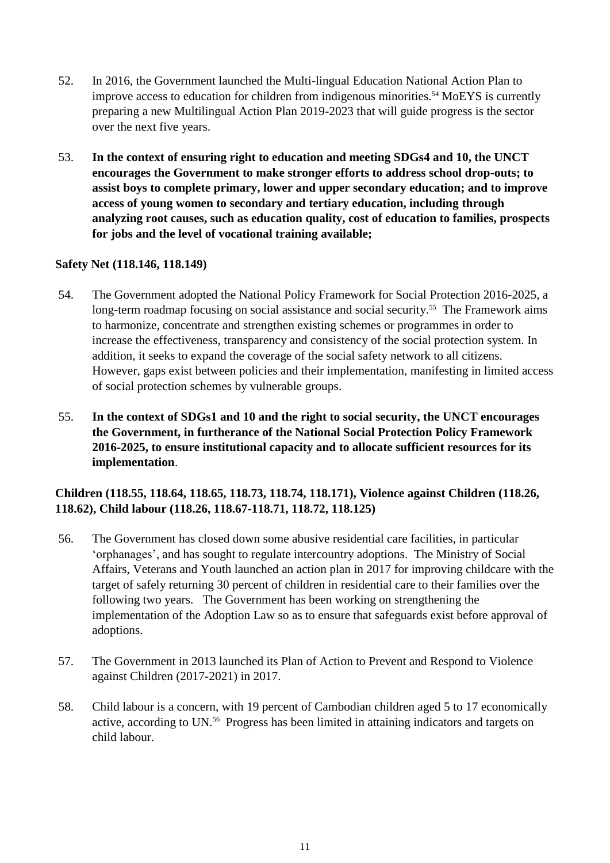- 52. In 2016, the Government launched the Multi-lingual Education National Action Plan to improve access to education for children from indigenous minorities.<sup>54</sup> MoEYS is currently preparing a new Multilingual Action Plan 2019-2023 that will guide progress is the sector over the next five years.
- 53. **In the context of ensuring right to education and meeting SDGs4 and 10, the UNCT encourages the Government to make stronger efforts to address school drop-outs; to assist boys to complete primary, lower and upper secondary education; and to improve access of young women to secondary and tertiary education, including through analyzing root causes, such as education quality, cost of education to families, prospects for jobs and the level of vocational training available;**

### **Safety Net (118.146, 118.149)**

- 54. The Government adopted the National Policy Framework for Social Protection 2016-2025, a long-term roadmap focusing on social assistance and social security.<sup>55</sup> The Framework aims to harmonize, concentrate and strengthen existing schemes or programmes in order to increase the effectiveness, transparency and consistency of the social protection system. In addition, it seeks to expand the coverage of the social safety network to all citizens. However, gaps exist between policies and their implementation, manifesting in limited access of social protection schemes by vulnerable groups.
- 55. **In the context of SDGs1 and 10 and the right to social security, the UNCT encourages the Government, in furtherance of the National Social Protection Policy Framework 2016-2025, to ensure institutional capacity and to allocate sufficient resources for its implementation**.

# <span id="page-10-0"></span>**Children (118.55, 118.64, 118.65, 118.73, 118.74, 118.171), Violence against Children (118.26, 118.62), Child labour (118.26, 118.67-118.71, 118.72, 118.125)**

- 56. The Government has closed down some abusive residential care facilities, in particular 'orphanages', and has sought to regulate intercountry adoptions. The Ministry of Social Affairs, Veterans and Youth launched an action plan in 2017 for improving childcare with the target of safely returning 30 percent of children in residential care to their families over the following two years. The Government has been working on strengthening the implementation of the Adoption Law so as to ensure that safeguards exist before approval of adoptions.
- 57. The Government in 2013 launched its Plan of Action to Prevent and Respond to Violence against Children (2017-2021) in 2017.
- 58. Child labour is a concern, with 19 percent of Cambodian children aged 5 to 17 economically active, according to UN. <sup>56</sup> Progress has been limited in attaining indicators and targets on child labour.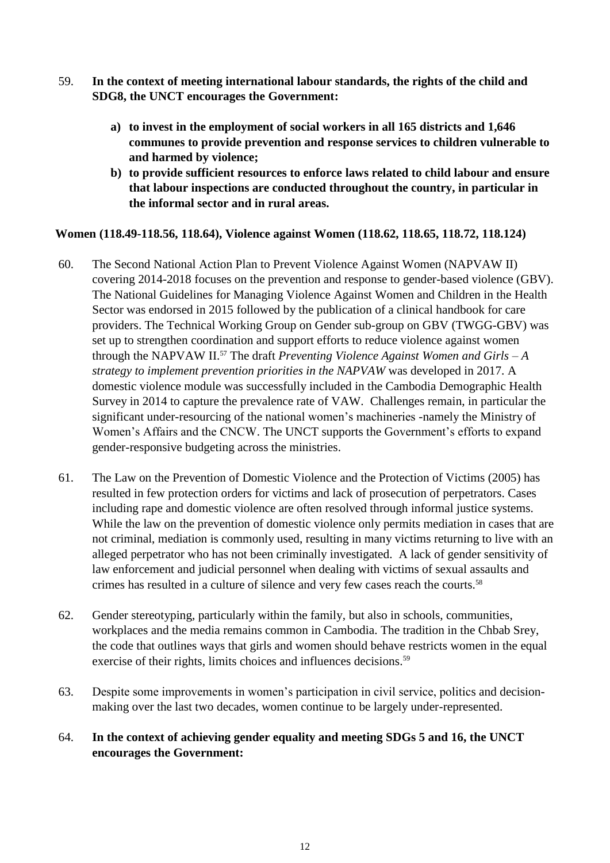- 59. **In the context of meeting international labour standards, the rights of the child and SDG8, the UNCT encourages the Government:**
	- **a) to invest in the employment of social workers in all 165 districts and 1,646 communes to provide prevention and response services to children vulnerable to and harmed by violence;**
	- **b) to provide sufficient resources to enforce laws related to child labour and ensure that labour inspections are conducted throughout the country, in particular in the informal sector and in rural areas.**

### <span id="page-11-0"></span>**Women (118.49-118.56, 118.64), Violence against Women (118.62, 118.65, 118.72, 118.124)**

- 60. The Second National Action Plan to Prevent Violence Against Women (NAPVAW II) covering 2014-2018 focuses on the prevention and response to gender-based violence (GBV). The National Guidelines for Managing Violence Against Women and Children in the Health Sector was endorsed in 2015 followed by the publication of a clinical handbook for care providers. The Technical Working Group on Gender sub-group on GBV (TWGG-GBV) was set up to strengthen coordination and support efforts to reduce violence against women through the NAPVAW II. <sup>57</sup> The draft *Preventing Violence Against Women and Girls – A strategy to implement prevention priorities in the NAPVAW* was developed in 2017. A domestic violence module was successfully included in the Cambodia Demographic Health Survey in 2014 to capture the prevalence rate of VAW. Challenges remain, in particular the significant under-resourcing of the national women's machineries -namely the Ministry of Women's Affairs and the CNCW. The UNCT supports the Government's efforts to expand gender-responsive budgeting across the ministries.
- 61. The Law on the Prevention of Domestic Violence and the Protection of Victims (2005) has resulted in few protection orders for victims and lack of prosecution of perpetrators. Cases including rape and domestic violence are often resolved through informal justice systems. While the law on the prevention of domestic violence only permits mediation in cases that are not criminal, mediation is commonly used, resulting in many victims returning to live with an alleged perpetrator who has not been criminally investigated. A lack of gender sensitivity of law enforcement and judicial personnel when dealing with victims of sexual assaults and crimes has resulted in a culture of silence and very few cases reach the courts. 58
- 62. Gender stereotyping, particularly within the family, but also in schools, communities, workplaces and the media remains common in Cambodia. The tradition in the Chbab Srey, the code that outlines ways that girls and women should behave restricts women in the equal exercise of their rights, limits choices and influences decisions. 59
- 63. Despite some improvements in women's participation in civil service, politics and decisionmaking over the last two decades, women continue to be largely under-represented.
- 64. **In the context of achieving gender equality and meeting SDGs 5 and 16, the UNCT encourages the Government:**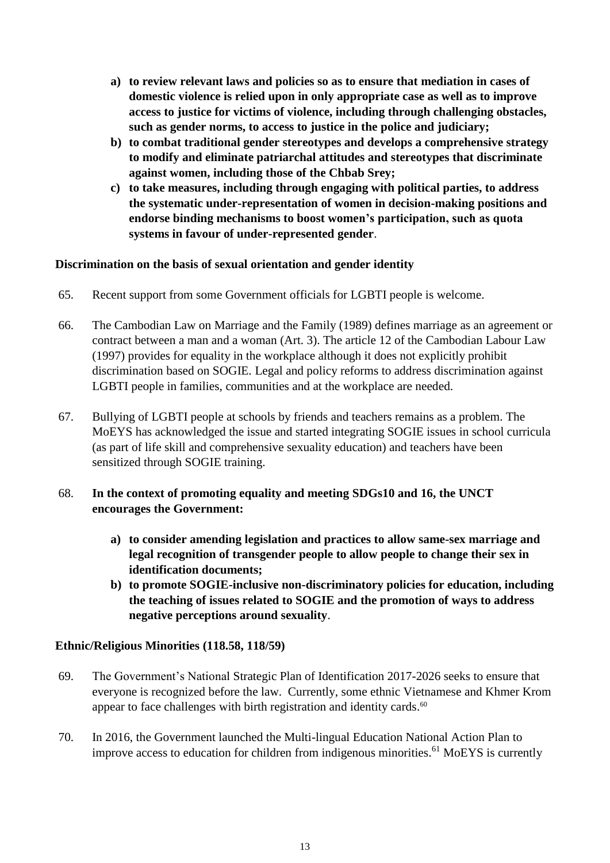- **a) to review relevant laws and policies so as to ensure that mediation in cases of domestic violence is relied upon in only appropriate case as well as to improve access to justice for victims of violence, including through challenging obstacles, such as gender norms, to access to justice in the police and judiciary;**
- **b) to combat traditional gender stereotypes and develops a comprehensive strategy to modify and eliminate patriarchal attitudes and stereotypes that discriminate against women, including those of the Chbab Srey;**
- **c) to take measures, including through engaging with political parties, to address the systematic under-representation of women in decision-making positions and endorse binding mechanisms to boost women's participation, such as quota systems in favour of under-represented gender**.

### **Discrimination on the basis of sexual orientation and gender identity**

- 65. Recent support from some Government officials for LGBTI people is welcome.
- 66. The Cambodian Law on Marriage and the Family (1989) defines marriage as an agreement or contract between a man and a woman (Art. 3). The article 12 of the Cambodian Labour Law (1997) provides for equality in the workplace although it does not explicitly prohibit discrimination based on SOGIE. Legal and policy reforms to address discrimination against LGBTI people in families, communities and at the workplace are needed.
- 67. Bullying of LGBTI people at schools by friends and teachers remains as a problem. The MoEYS has acknowledged the issue and started integrating SOGIE issues in school curricula (as part of life skill and comprehensive sexuality education) and teachers have been sensitized through SOGIE training.

### 68. **In the context of promoting equality and meeting SDGs10 and 16, the UNCT encourages the Government:**

- **a) to consider amending legislation and practices to allow same-sex marriage and legal recognition of transgender people to allow people to change their sex in identification documents;**
- **b) to promote SOGIE-inclusive non-discriminatory policies for education, including the teaching of issues related to SOGIE and the promotion of ways to address negative perceptions around sexuality**.

### <span id="page-12-0"></span>**Ethnic/Religious Minorities (118.58, 118/59)**

- 69. The Government's National Strategic Plan of Identification 2017-2026 seeks to ensure that everyone is recognized before the law. Currently, some ethnic Vietnamese and Khmer Krom appear to face challenges with birth registration and identity cards.<sup>60</sup>
- 70. In 2016, the Government launched the Multi-lingual Education National Action Plan to improve access to education for children from indigenous minorities.<sup>61</sup> MoEYS is currently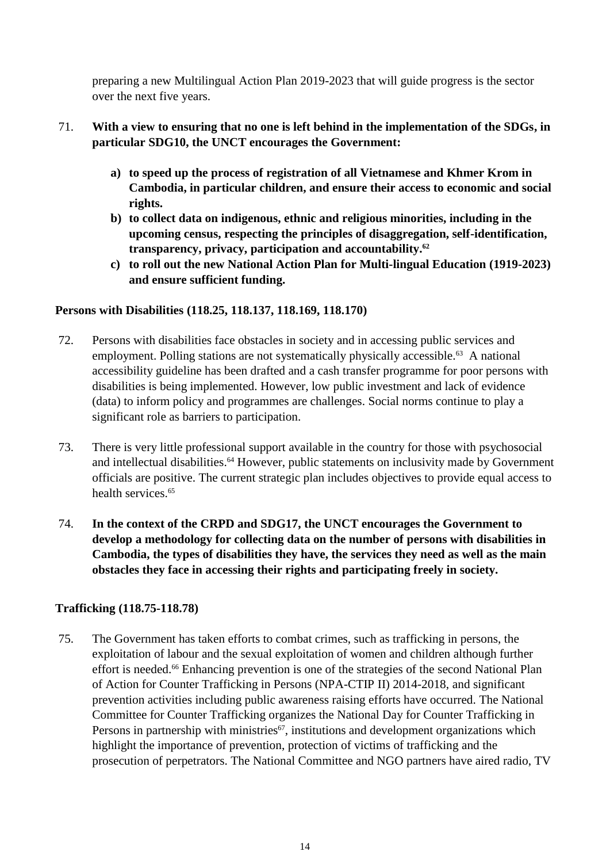preparing a new Multilingual Action Plan 2019-2023 that will guide progress is the sector over the next five years.

- 71. **With a view to ensuring that no one is left behind in the implementation of the SDGs, in particular SDG10, the UNCT encourages the Government:**
	- **a) to speed up the process of registration of all Vietnamese and Khmer Krom in Cambodia, in particular children, and ensure their access to economic and social rights.**
	- **b) to collect data on indigenous, ethnic and religious minorities, including in the upcoming census, respecting the principles of disaggregation, self-identification, transparency, privacy, participation and accountability.<sup>62</sup>**
	- **c) to roll out the new National Action Plan for Multi-lingual Education (1919-2023) and ensure sufficient funding.**

### <span id="page-13-0"></span>**Persons with Disabilities (118.25, 118.137, 118.169, 118.170)**

- 72. Persons with disabilities face obstacles in society and in accessing public services and employment. Polling stations are not systematically physically accessible.<sup>63</sup> A national accessibility guideline has been drafted and a cash transfer programme for poor persons with disabilities is being implemented. However, low public investment and lack of evidence (data) to inform policy and programmes are challenges. Social norms continue to play a significant role as barriers to participation.
- 73. There is very little professional support available in the country for those with psychosocial and intellectual disabilities. <sup>64</sup> However, public statements on inclusivity made by Government officials are positive. The current strategic plan includes objectives to provide equal access to health services.<sup>65</sup>
- 74. **In the context of the CRPD and SDG17, the UNCT encourages the Government to develop a methodology for collecting data on the number of persons with disabilities in Cambodia, the types of disabilities they have, the services they need as well as the main obstacles they face in accessing their rights and participating freely in society.**

### <span id="page-13-1"></span>**Trafficking (118.75-118.78)**

75. The Government has taken efforts to combat crimes, such as trafficking in persons, the exploitation of labour and the sexual exploitation of women and children although further effort is needed. <sup>66</sup> Enhancing prevention is one of the strategies of the second National Plan of Action for Counter Trafficking in Persons (NPA-CTIP II) 2014-2018, and significant prevention activities including public awareness raising efforts have occurred. The National Committee for Counter Trafficking organizes the National Day for Counter Trafficking in Persons in partnership with ministries<sup>67</sup>, institutions and development organizations which highlight the importance of prevention, protection of victims of trafficking and the prosecution of perpetrators. The National Committee and NGO partners have aired radio, TV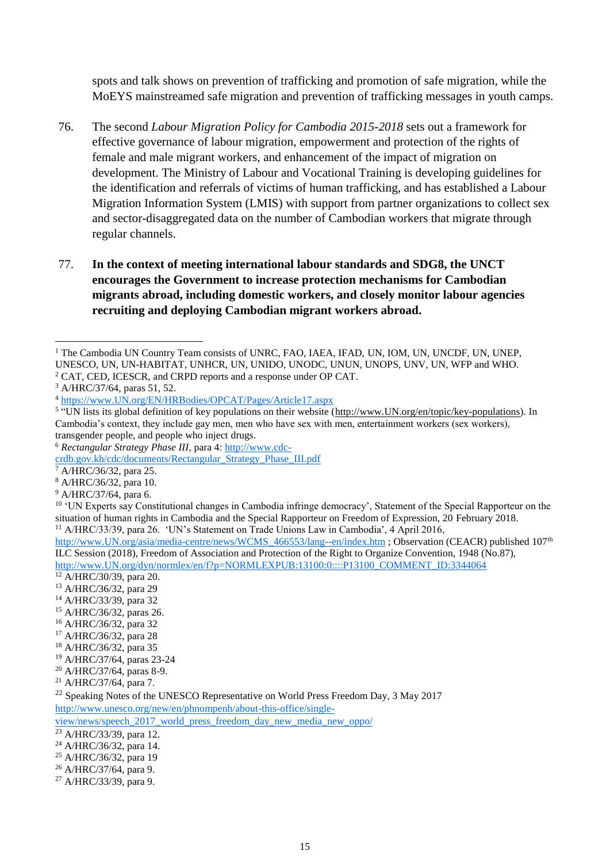spots and talk shows on prevention of trafficking and promotion of safe migration, while the MoEYS mainstreamed safe migration and prevention of trafficking messages in youth camps.

- 76. The second *Labour Migration Policy for Cambodia 2015-2018* sets out a framework for effective governance of labour migration, empowerment and protection of the rights of female and male migrant workers, and enhancement of the impact of migration on development. The Ministry of Labour and Vocational Training is developing guidelines for the identification and referrals of victims of human trafficking, and has established a Labour Migration Information System (LMIS) with support from partner organizations to collect sex and sector-disaggregated data on the number of Cambodian workers that migrate through regular channels.
- 77. **In the context of meeting international labour standards and SDG8, the UNCT encourages the Government to increase protection mechanisms for Cambodian migrants abroad, including domestic workers, and closely monitor labour agencies recruiting and deploying Cambodian migrant workers abroad.**

<sup>6</sup> *Rectangular Strategy Phase III*, para 4: [http://www.cdc-](http://www.cdc-crdb.gov.kh/cdc/documents/Rectangular_Strategy_Phase_III.pdf)

[crdb.gov.kh/cdc/documents/Rectangular\\_Strategy\\_Phase\\_III.pdf](http://www.cdc-crdb.gov.kh/cdc/documents/Rectangular_Strategy_Phase_III.pdf) 

- <sup>14</sup> A/HRC/33/39, para 32
- <sup>15</sup> A/HRC/36/32, paras 26.
- <sup>16</sup> A/HRC/36/32, para 32
- <sup>17</sup> A/HRC/36/32, para 28
- <sup>18</sup> A/HRC/36/32, para 35
- <sup>19</sup> A/HRC/37/64, paras 23-24
- <sup>20</sup> A/HRC/37/64, paras 8-9.
- <sup>21</sup> A/HRC/37/64, para 7.

[http://www.unesco.org/new/en/phnompenh/about-this-office/single-](http://www.unesco.org/new/en/phnompenh/about-this-office/single-view/news/speech_2017_world_press_freedom_day_new_media_new_oppo/)

[view/news/speech\\_2017\\_world\\_press\\_freedom\\_day\\_new\\_media\\_new\\_oppo/](http://www.unesco.org/new/en/phnompenh/about-this-office/single-view/news/speech_2017_world_press_freedom_day_new_media_new_oppo/)

<sup>&</sup>lt;sup>1</sup> The Cambodia UN Country Team consists of UNRC, FAO, IAEA, IFAD, UN, IOM, UN, UNCDF, UN, UNEP, UNESCO, UN, UN-HABITAT, UNHCR, UN, UNIDO, UNODC, UNUN, UNOPS, UNV, UN, WFP and WHO. <sup>2</sup> CAT, CED, ICESCR, and CRPD reports and a response under OP CAT. -

<sup>3</sup> A/HRC/37/64, paras 51, 52.

<sup>4</sup> [https://www.UN.org/EN/HRBodies/OPCAT/Pages/Article17.aspx](https://www.ohchr.org/EN/HRBodies/OPCAT/Pages/Article17.aspx)

<sup>&</sup>lt;sup>5</sup> "UN lists its global definition of key populations on their website [\(http://www.UN.org/en/topic/key-populations\)](http://www.unaids.org/en/topic/key-populations). In Cambodia's context, they include gay men, men who have sex with men, entertainment workers (sex workers), transgender people, and people who inject drugs.

<sup>7</sup> A/HRC/36/32, para 25.

<sup>8</sup> A/HRC/36/32, para 10.

<sup>9</sup> A/HRC/37/64, para 6.

<sup>&</sup>lt;sup>10</sup> 'UN Experts say Constitutional changes in Cambodia infringe democracy', Statement of the Special Rapporteur on the situation of human rights in Cambodia and the Special Rapporteur on Freedom of Expression, 20 February 2018.

<sup>&</sup>lt;sup>11</sup> A/HRC/33/39, para 26. 'UN's Statement on Trade Unions Law in Cambodia', 4 April 2016,

[http://www.UN.org/asia/media-centre/news/WCMS\\_466553/lang--en/index.htm](http://www.ilo.org/asia/media-centre/news/WCMS_466553/lang--en/index.htm); Observation (CEACR) published 107<sup>th</sup> ILC Session (2018), Freedom of Association and Protection of the Right to Organize Convention, 1948 (No.87), [http://www.UN.org/dyn/normlex/en/f?p=NORMLEXPUB:13100:0::::P13100\\_COMMENT\\_ID:3344064](http://www.ilo.org/dyn/normlex/en/f?p=NORMLEXPUB:13100:0::::P13100_COMMENT_ID:3344064)

<sup>12</sup> A/HRC/30/39, para 20.

<sup>13</sup> A/HRC/36/32, para 29

<sup>&</sup>lt;sup>22</sup> Speaking Notes of the UNESCO Representative on World Press Freedom Day, 3 May 2017

<sup>23</sup> A/HRC/33/39, para 12.

 $^{24}$  A/HRC/36/32, para 14.

<sup>25</sup> A/HRC/36/32, para 19

<sup>26</sup> A/HRC/37/64, para 9.

<sup>27</sup> A/HRC/33/39, para 9.